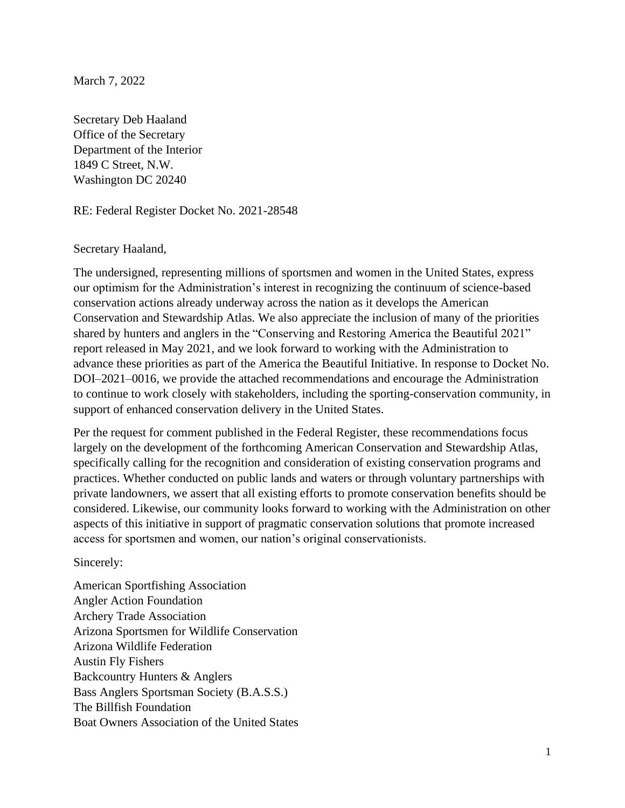March 7, 2022

Secretary Deb Haaland Office of the Secretary Department of the Interior 1849 C Street, N.W. Washington DC 20240

RE: Federal Register Docket No. 2021-28548

#### Secretary Haaland,

The undersigned, representing millions of sportsmen and women in the United States, express our optimism for the Administration's interest in recognizing the continuum of science-based conservation actions already underway across the nation as it develops the American Conservation and Stewardship Atlas. We also appreciate the inclusion of many of the priorities shared by hunters and anglers in the "Conserving and Restoring America the Beautiful 2021" report released in May 2021, and we look forward to working with the Administration to advance these priorities as part of the America the Beautiful Initiative. In response to Docket No. DOI–2021–0016, we provide the attached recommendations and encourage the Administration to continue to work closely with stakeholders, including the sporting-conservation community, in support of enhanced conservation delivery in the United States.

Per the request for comment published in the Federal Register, these recommendations focus largely on the development of the forthcoming American Conservation and Stewardship Atlas, specifically calling for the recognition and consideration of existing conservation programs and practices. Whether conducted on public lands and waters or through voluntary partnerships with private landowners, we assert that all existing efforts to promote conservation benefits should be considered. Likewise, our community looks forward to working with the Administration on other aspects of this initiative in support of pragmatic conservation solutions that promote increased access for sportsmen and women, our nation's original conservationists.

Sincerely:

American Sportfishing Association Angler Action Foundation Archery Trade Association Arizona Sportsmen for Wildlife Conservation Arizona Wildlife Federation Austin Fly Fishers Backcountry Hunters & Anglers Bass Anglers Sportsman Society (B.A.S.S.) The Billfish Foundation Boat Owners Association of the United States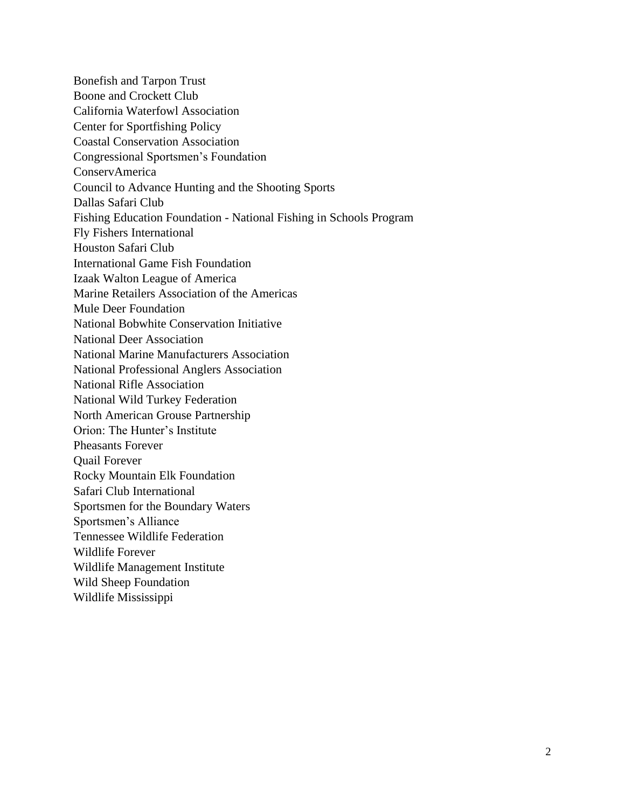Bonefish and Tarpon Trust Boone and Crockett Club California Waterfowl Association Center for Sportfishing Policy Coastal Conservation Association Congressional Sportsmen's Foundation ConservAmerica Council to Advance Hunting and the Shooting Sports Dallas Safari Club Fishing Education Foundation - National Fishing in Schools Program Fly Fishers International Houston Safari Club International Game Fish Foundation Izaak Walton League of America Marine Retailers Association of the Americas Mule Deer Foundation National Bobwhite Conservation Initiative National Deer Association National Marine Manufacturers Association National Professional Anglers Association National Rifle Association National Wild Turkey Federation North American Grouse Partnership Orion: The Hunter's Institute Pheasants Forever Quail Forever Rocky Mountain Elk Foundation Safari Club International Sportsmen for the Boundary Waters Sportsmen's Alliance Tennessee Wildlife Federation Wildlife Forever Wildlife Management Institute Wild Sheep Foundation Wildlife Mississippi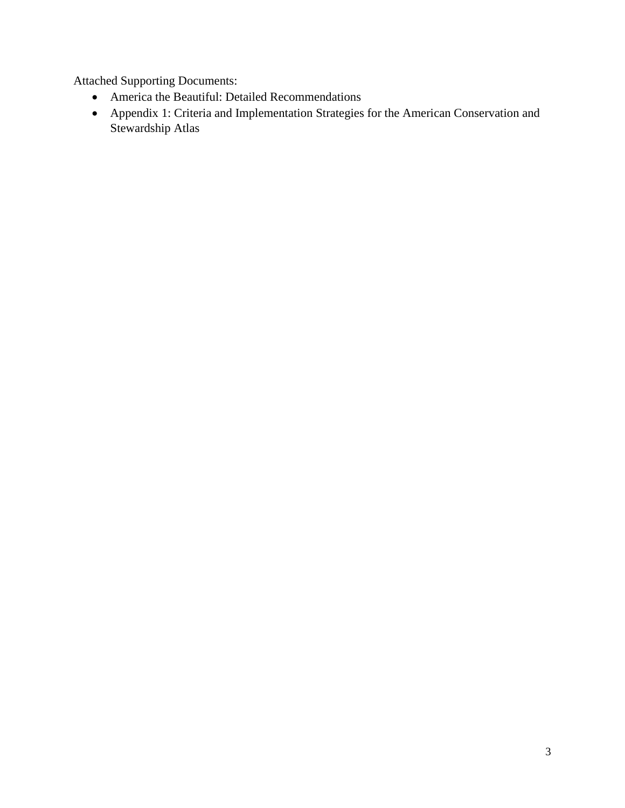Attached Supporting Documents:

- America the Beautiful: Detailed Recommendations
- Appendix 1: Criteria and Implementation Strategies for the American Conservation and Stewardship Atlas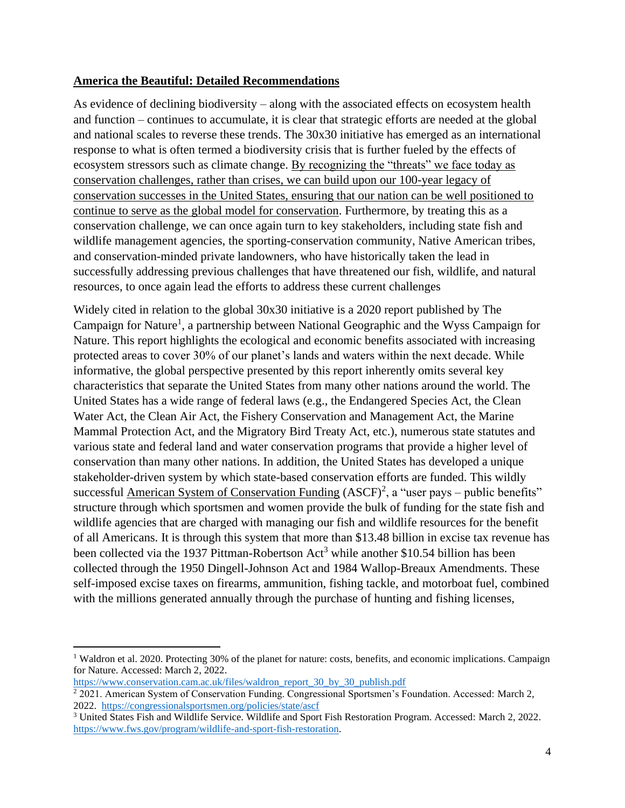### **America the Beautiful: Detailed Recommendations**

As evidence of declining biodiversity – along with the associated effects on ecosystem health and function – continues to accumulate, it is clear that strategic efforts are needed at the global and national scales to reverse these trends. The 30x30 initiative has emerged as an international response to what is often termed a biodiversity crisis that is further fueled by the effects of ecosystem stressors such as climate change. By recognizing the "threats" we face today as conservation challenges, rather than crises, we can build upon our 100-year legacy of conservation successes in the United States, ensuring that our nation can be well positioned to continue to serve as the global model for conservation. Furthermore, by treating this as a conservation challenge, we can once again turn to key stakeholders, including state fish and wildlife management agencies, the sporting-conservation community, Native American tribes, and conservation-minded private landowners, who have historically taken the lead in successfully addressing previous challenges that have threatened our fish, wildlife, and natural resources, to once again lead the efforts to address these current challenges

Widely cited in relation to the global 30x30 initiative is a 2020 report published by The Campaign for Nature<sup>1</sup>, a partnership between National Geographic and the Wyss Campaign for Nature. This report highlights the ecological and economic benefits associated with increasing protected areas to cover 30% of our planet's lands and waters within the next decade. While informative, the global perspective presented by this report inherently omits several key characteristics that separate the United States from many other nations around the world. The United States has a wide range of federal laws (e.g., the Endangered Species Act, the Clean Water Act, the Clean Air Act, the Fishery Conservation and Management Act, the Marine Mammal Protection Act, and the Migratory Bird Treaty Act, etc.), numerous state statutes and various state and federal land and water conservation programs that provide a higher level of conservation than many other nations. In addition, the United States has developed a unique stakeholder-driven system by which state-based conservation efforts are funded. This wildly successful American System of Conservation Funding  $(ASCF)^2$ , a "user pays – public benefits" structure through which sportsmen and women provide the bulk of funding for the state fish and wildlife agencies that are charged with managing our fish and wildlife resources for the benefit of all Americans. It is through this system that more than \$13.48 billion in excise tax revenue has been collected via the 1937 Pittman-Robertson Act<sup>3</sup> while another \$10.54 billion has been collected through the 1950 Dingell-Johnson Act and 1984 Wallop-Breaux Amendments. These self-imposed excise taxes on firearms, ammunition, fishing tackle, and motorboat fuel, combined with the millions generated annually through the purchase of hunting and fishing licenses,

<sup>&</sup>lt;sup>1</sup> Waldron et al. 2020. Protecting 30% of the planet for nature: costs, benefits, and economic implications. Campaign for Nature. Accessed: March 2, 2022.

[https://www.conservation.cam.ac.uk/files/waldron\\_report\\_30\\_by\\_30\\_publish.pdf](https://www.conservation.cam.ac.uk/files/waldron_report_30_by_30_publish.pdf)

<sup>2</sup> 2021. American System of Conservation Funding. Congressional Sportsmen's Foundation. Accessed: March 2, 2022.<https://congressionalsportsmen.org/policies/state/ascf>

<sup>3</sup> United States Fish and Wildlife Service. Wildlife and Sport Fish Restoration Program. Accessed: March 2, 2022. [https://www.fws.gov/program/wildlife-and-sport-fish-restoration.](https://www.fws.gov/program/wildlife-and-sport-fish-restoration)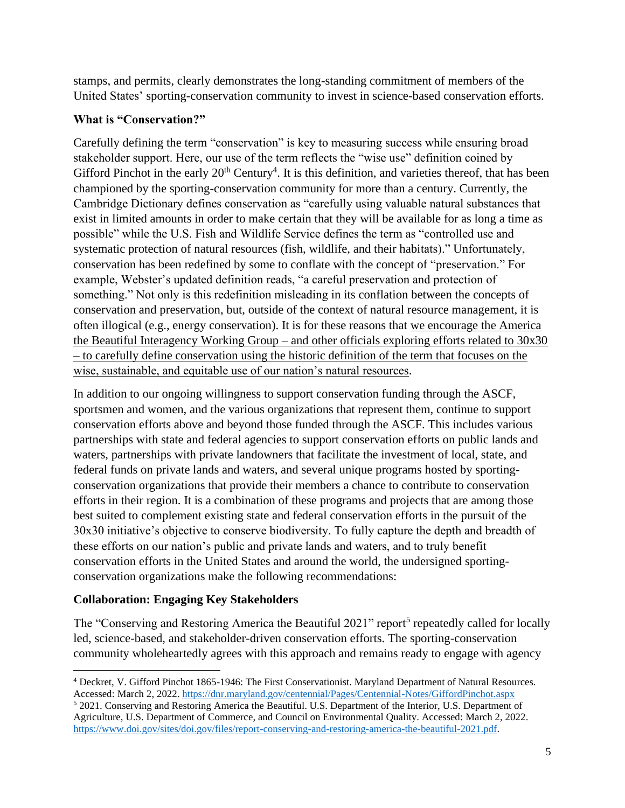stamps, and permits, clearly demonstrates the long-standing commitment of members of the United States' sporting-conservation community to invest in science-based conservation efforts.

### **What is "Conservation?"**

Carefully defining the term "conservation" is key to measuring success while ensuring broad stakeholder support. Here, our use of the term reflects the "wise use" definition coined by Gifford Pinchot in the early  $20<sup>th</sup>$  Century<sup>4</sup>. It is this definition, and varieties thereof, that has been championed by the sporting-conservation community for more than a century. Currently, the Cambridge Dictionary defines conservation as "carefully using valuable natural substances that exist in limited amounts in order to make certain that they will be available for as long a time as possible" while the U.S. Fish and Wildlife Service defines the term as "controlled use and systematic protection of natural resources (fish, wildlife, and their habitats)." Unfortunately, conservation has been redefined by some to conflate with the concept of "preservation." For example, Webster's updated definition reads, "a careful preservation and protection of something." Not only is this redefinition misleading in its conflation between the concepts of conservation and preservation, but, outside of the context of natural resource management, it is often illogical (e.g., energy conservation). It is for these reasons that we encourage the America the Beautiful Interagency Working Group – and other officials exploring efforts related to 30x30 – to carefully define conservation using the historic definition of the term that focuses on the wise, sustainable, and equitable use of our nation's natural resources.

In addition to our ongoing willingness to support conservation funding through the ASCF, sportsmen and women, and the various organizations that represent them, continue to support conservation efforts above and beyond those funded through the ASCF. This includes various partnerships with state and federal agencies to support conservation efforts on public lands and waters, partnerships with private landowners that facilitate the investment of local, state, and federal funds on private lands and waters, and several unique programs hosted by sportingconservation organizations that provide their members a chance to contribute to conservation efforts in their region. It is a combination of these programs and projects that are among those best suited to complement existing state and federal conservation efforts in the pursuit of the 30x30 initiative's objective to conserve biodiversity. To fully capture the depth and breadth of these efforts on our nation's public and private lands and waters, and to truly benefit conservation efforts in the United States and around the world, the undersigned sportingconservation organizations make the following recommendations:

# **Collaboration: Engaging Key Stakeholders**

The "Conserving and Restoring America the Beautiful 2021" report<sup>5</sup> repeatedly called for locally led, science-based, and stakeholder-driven conservation efforts. The sporting-conservation community wholeheartedly agrees with this approach and remains ready to engage with agency

<sup>4</sup> Deckret, V. Gifford Pinchot 1865-1946: The First Conservationist. Maryland Department of Natural Resources. Accessed: March 2, 2022[. https://dnr.maryland.gov/centennial/Pages/Centennial-Notes/GiffordPinchot.aspx](https://dnr.maryland.gov/centennial/Pages/Centennial-Notes/GiffordPinchot.aspx)

<sup>5</sup> 2021. Conserving and Restoring America the Beautiful. U.S. Department of the Interior, U.S. Department of Agriculture, U.S. Department of Commerce, and Council on Environmental Quality. Accessed: March 2, 2022. [https://www.doi.gov/sites/doi.gov/files/report-conserving-and-restoring-america-the-beautiful-2021.pdf.](https://www.doi.gov/sites/doi.gov/files/report-conserving-and-restoring-america-the-beautiful-2021.pdf)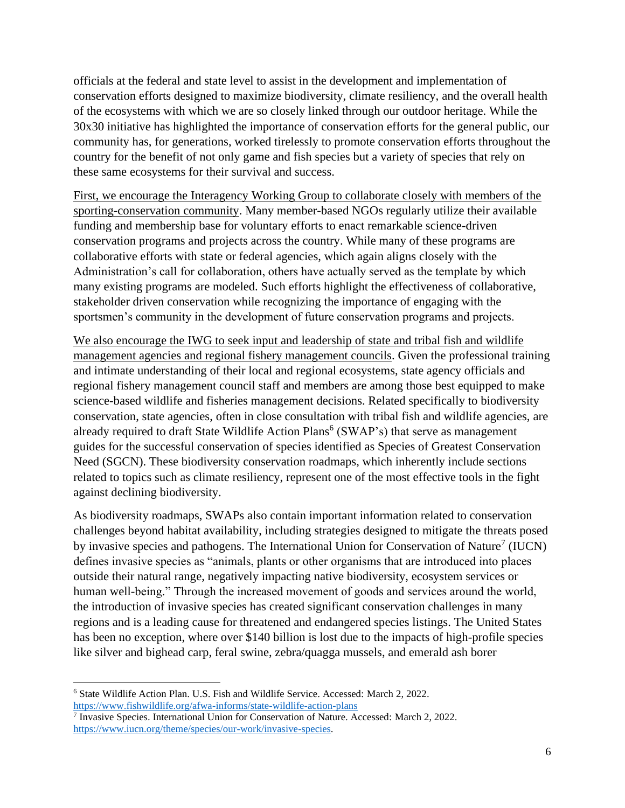officials at the federal and state level to assist in the development and implementation of conservation efforts designed to maximize biodiversity, climate resiliency, and the overall health of the ecosystems with which we are so closely linked through our outdoor heritage. While the 30x30 initiative has highlighted the importance of conservation efforts for the general public, our community has, for generations, worked tirelessly to promote conservation efforts throughout the country for the benefit of not only game and fish species but a variety of species that rely on these same ecosystems for their survival and success.

First, we encourage the Interagency Working Group to collaborate closely with members of the sporting-conservation community. Many member-based NGOs regularly utilize their available funding and membership base for voluntary efforts to enact remarkable science-driven conservation programs and projects across the country. While many of these programs are collaborative efforts with state or federal agencies, which again aligns closely with the Administration's call for collaboration, others have actually served as the template by which many existing programs are modeled. Such efforts highlight the effectiveness of collaborative, stakeholder driven conservation while recognizing the importance of engaging with the sportsmen's community in the development of future conservation programs and projects.

We also encourage the IWG to seek input and leadership of state and tribal fish and wildlife management agencies and regional fishery management councils. Given the professional training and intimate understanding of their local and regional ecosystems, state agency officials and regional fishery management council staff and members are among those best equipped to make science-based wildlife and fisheries management decisions. Related specifically to biodiversity conservation, state agencies, often in close consultation with tribal fish and wildlife agencies, are already required to draft State Wildlife Action Plans<sup>6</sup> (SWAP's) that serve as management guides for the successful conservation of species identified as Species of Greatest Conservation Need (SGCN). These biodiversity conservation roadmaps, which inherently include sections related to topics such as climate resiliency, represent one of the most effective tools in the fight against declining biodiversity.

As biodiversity roadmaps, SWAPs also contain important information related to conservation challenges beyond habitat availability, including strategies designed to mitigate the threats posed by invasive species and pathogens. The International Union for Conservation of Nature<sup>7</sup> (IUCN) defines invasive species as "animals, plants or other organisms that are introduced into places outside their natural range, negatively impacting native biodiversity, ecosystem services or human well-being." Through the increased movement of goods and services around the world, the introduction of invasive species has created significant conservation challenges in many regions and is a leading cause for threatened and endangered species listings. The United States has been no exception, where over \$140 billion is lost due to the impacts of high-profile species like silver and bighead carp, feral swine, zebra/quagga mussels, and emerald ash borer

<sup>6</sup> State Wildlife Action Plan. U.S. Fish and Wildlife Service. Accessed: March 2, 2022.

<https://www.fishwildlife.org/afwa-informs/state-wildlife-action-plans><br><sup>7</sup> Invasive Species. International Union for Conservation of Nature. Accessed: March 2, 2022. [https://www.iucn.org/theme/species/our-work/invasive-species.](https://www.iucn.org/theme/species/our-work/invasive-species)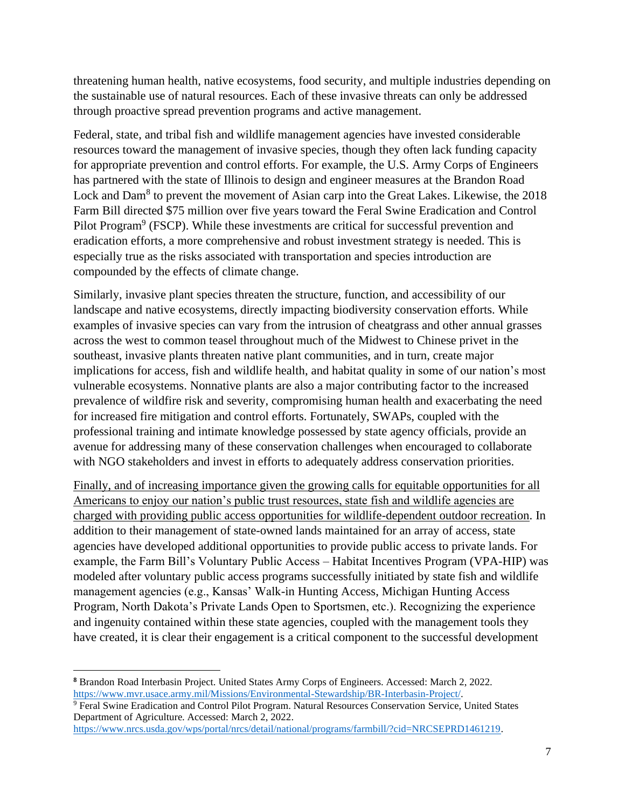threatening human health, native ecosystems, food security, and multiple industries depending on the sustainable use of natural resources. Each of these invasive threats can only be addressed through proactive spread prevention programs and active management.

Federal, state, and tribal fish and wildlife management agencies have invested considerable resources toward the management of invasive species, though they often lack funding capacity for appropriate prevention and control efforts. For example, the U.S. Army Corps of Engineers has partnered with the state of Illinois to design and engineer measures at the Brandon Road Lock and Dam<sup>8</sup> to prevent the movement of Asian carp into the Great Lakes. Likewise, the 2018 Farm Bill directed \$75 million over five years toward the Feral Swine Eradication and Control Pilot Program<sup>9</sup> (FSCP). While these investments are critical for successful prevention and eradication efforts, a more comprehensive and robust investment strategy is needed. This is especially true as the risks associated with transportation and species introduction are compounded by the effects of climate change.

Similarly, invasive plant species threaten the structure, function, and accessibility of our landscape and native ecosystems, directly impacting biodiversity conservation efforts. While examples of invasive species can vary from the intrusion of cheatgrass and other annual grasses across the west to common teasel throughout much of the Midwest to Chinese privet in the southeast, invasive plants threaten native plant communities, and in turn, create major implications for access, fish and wildlife health, and habitat quality in some of our nation's most vulnerable ecosystems. Nonnative plants are also a major contributing factor to the increased prevalence of wildfire risk and severity, compromising human health and exacerbating the need for increased fire mitigation and control efforts. Fortunately, SWAPs, coupled with the professional training and intimate knowledge possessed by state agency officials, provide an avenue for addressing many of these conservation challenges when encouraged to collaborate with NGO stakeholders and invest in efforts to adequately address conservation priorities.

Finally, and of increasing importance given the growing calls for equitable opportunities for all Americans to enjoy our nation's public trust resources, state fish and wildlife agencies are charged with providing public access opportunities for wildlife-dependent outdoor recreation. In addition to their management of state-owned lands maintained for an array of access, state agencies have developed additional opportunities to provide public access to private lands. For example, the Farm Bill's Voluntary Public Access – Habitat Incentives Program (VPA-HIP) was modeled after voluntary public access programs successfully initiated by state fish and wildlife management agencies (e.g., Kansas' Walk-in Hunting Access, Michigan Hunting Access Program, North Dakota's Private Lands Open to Sportsmen, etc.). Recognizing the experience and ingenuity contained within these state agencies, coupled with the management tools they have created, it is clear their engagement is a critical component to the successful development

**<sup>8</sup>** Brandon Road Interbasin Project. United States Army Corps of Engineers. Accessed: March 2, 2022. [https://www.mvr.usace.army.mil/Missions/Environmental-Stewardship/BR-Interbasin-Project/.](https://www.mvr.usace.army.mil/Missions/Environmental-Stewardship/BR-Interbasin-Project/)

<sup>9</sup> Feral Swine Eradication and Control Pilot Program. Natural Resources Conservation Service, United States Department of Agriculture. Accessed: March 2, 2022.

[https://www.nrcs.usda.gov/wps/portal/nrcs/detail/national/programs/farmbill/?cid=NRCSEPRD1461219.](https://www.nrcs.usda.gov/wps/portal/nrcs/detail/national/programs/farmbill/?cid=NRCSEPRD1461219)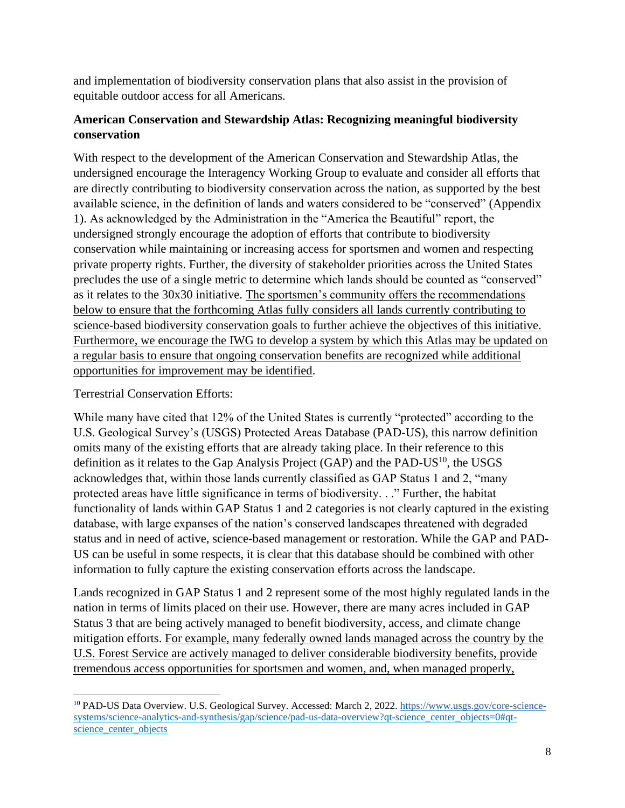and implementation of biodiversity conservation plans that also assist in the provision of equitable outdoor access for all Americans.

# **American Conservation and Stewardship Atlas: Recognizing meaningful biodiversity conservation**

With respect to the development of the American Conservation and Stewardship Atlas, the undersigned encourage the Interagency Working Group to evaluate and consider all efforts that are directly contributing to biodiversity conservation across the nation, as supported by the best available science, in the definition of lands and waters considered to be "conserved" (Appendix 1). As acknowledged by the Administration in the "America the Beautiful" report, the undersigned strongly encourage the adoption of efforts that contribute to biodiversity conservation while maintaining or increasing access for sportsmen and women and respecting private property rights. Further, the diversity of stakeholder priorities across the United States precludes the use of a single metric to determine which lands should be counted as "conserved" as it relates to the 30x30 initiative. The sportsmen's community offers the recommendations below to ensure that the forthcoming Atlas fully considers all lands currently contributing to science-based biodiversity conservation goals to further achieve the objectives of this initiative. Furthermore, we encourage the IWG to develop a system by which this Atlas may be updated on a regular basis to ensure that ongoing conservation benefits are recognized while additional opportunities for improvement may be identified.

Terrestrial Conservation Efforts:

While many have cited that 12% of the United States is currently "protected" according to the U.S. Geological Survey's (USGS) Protected Areas Database (PAD-US), this narrow definition omits many of the existing efforts that are already taking place. In their reference to this definition as it relates to the Gap Analysis Project (GAP) and the PAD-US $^{10}$ , the USGS acknowledges that, within those lands currently classified as GAP Status 1 and 2, "many protected areas have little significance in terms of biodiversity. . ." Further, the habitat functionality of lands within GAP Status 1 and 2 categories is not clearly captured in the existing database, with large expanses of the nation's conserved landscapes threatened with degraded status and in need of active, science-based management or restoration. While the GAP and PAD-US can be useful in some respects, it is clear that this database should be combined with other information to fully capture the existing conservation efforts across the landscape.

Lands recognized in GAP Status 1 and 2 represent some of the most highly regulated lands in the nation in terms of limits placed on their use. However, there are many acres included in GAP Status 3 that are being actively managed to benefit biodiversity, access, and climate change mitigation efforts. For example, many federally owned lands managed across the country by the U.S. Forest Service are actively managed to deliver considerable biodiversity benefits, provide tremendous access opportunities for sportsmen and women, and, when managed properly,

<sup>&</sup>lt;sup>10</sup> PAD-US Data Overview. U.S. Geological Survey. Accessed: March 2, 2022. [https://www.usgs.gov/core-science](https://www.usgs.gov/core-science-systems/science-analytics-and-synthesis/gap/science/pad-us-data-overview?qt-science_center_objects=0#qt-science_center_objects)[systems/science-analytics-and-synthesis/gap/science/pad-us-data-overview?qt-science\\_center\\_objects=0#qt](https://www.usgs.gov/core-science-systems/science-analytics-and-synthesis/gap/science/pad-us-data-overview?qt-science_center_objects=0#qt-science_center_objects)science center objects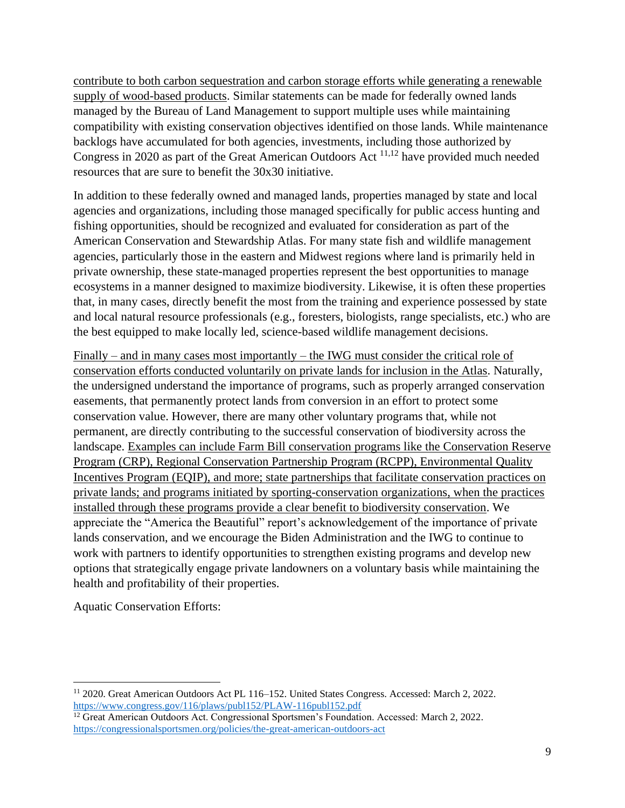contribute to both carbon sequestration and carbon storage efforts while generating a renewable supply of wood-based products. Similar statements can be made for federally owned lands managed by the Bureau of Land Management to support multiple uses while maintaining compatibility with existing conservation objectives identified on those lands. While maintenance backlogs have accumulated for both agencies, investments, including those authorized by Congress in 2020 as part of the Great American Outdoors Act 11,12 have provided much needed resources that are sure to benefit the 30x30 initiative.

In addition to these federally owned and managed lands, properties managed by state and local agencies and organizations, including those managed specifically for public access hunting and fishing opportunities, should be recognized and evaluated for consideration as part of the American Conservation and Stewardship Atlas. For many state fish and wildlife management agencies, particularly those in the eastern and Midwest regions where land is primarily held in private ownership, these state-managed properties represent the best opportunities to manage ecosystems in a manner designed to maximize biodiversity. Likewise, it is often these properties that, in many cases, directly benefit the most from the training and experience possessed by state and local natural resource professionals (e.g., foresters, biologists, range specialists, etc.) who are the best equipped to make locally led, science-based wildlife management decisions.

Finally – and in many cases most importantly – the IWG must consider the critical role of conservation efforts conducted voluntarily on private lands for inclusion in the Atlas. Naturally, the undersigned understand the importance of programs, such as properly arranged conservation easements, that permanently protect lands from conversion in an effort to protect some conservation value. However, there are many other voluntary programs that, while not permanent, are directly contributing to the successful conservation of biodiversity across the landscape. Examples can include Farm Bill conservation programs like the Conservation Reserve Program (CRP), Regional Conservation Partnership Program (RCPP), Environmental Quality Incentives Program (EQIP), and more; state partnerships that facilitate conservation practices on private lands; and programs initiated by sporting-conservation organizations, when the practices installed through these programs provide a clear benefit to biodiversity conservation. We appreciate the "America the Beautiful" report's acknowledgement of the importance of private lands conservation, and we encourage the Biden Administration and the IWG to continue to work with partners to identify opportunities to strengthen existing programs and develop new options that strategically engage private landowners on a voluntary basis while maintaining the health and profitability of their properties.

Aquatic Conservation Efforts:

<sup>11</sup> 2020. Great American Outdoors Act PL 116–152. United States Congress. Accessed: March 2, 2022. <https://www.congress.gov/116/plaws/publ152/PLAW-116publ152.pdf>

<sup>&</sup>lt;sup>12</sup> Great American Outdoors Act. Congressional Sportsmen's Foundation. Accessed: March 2, 2022. <https://congressionalsportsmen.org/policies/the-great-american-outdoors-act>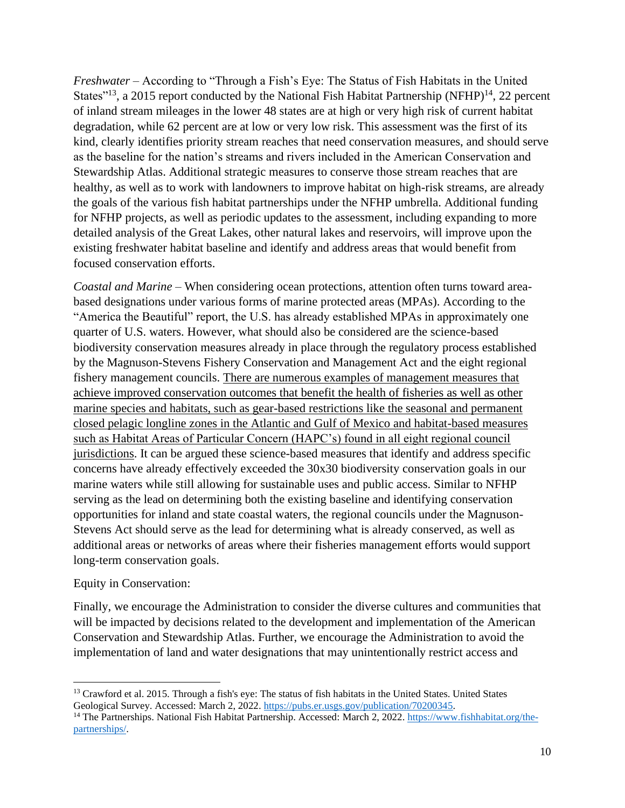*Freshwater –* According to "Through a Fish's Eye: The Status of Fish Habitats in the United States"<sup>13</sup>, a 2015 report conducted by the National Fish Habitat Partnership (NFHP)<sup>14</sup>, 22 percent of inland stream mileages in the lower 48 states are at high or very high risk of current habitat degradation, while 62 percent are at low or very low risk. This assessment was the first of its kind, clearly identifies priority stream reaches that need conservation measures, and should serve as the baseline for the nation's streams and rivers included in the American Conservation and Stewardship Atlas. Additional strategic measures to conserve those stream reaches that are healthy, as well as to work with landowners to improve habitat on high-risk streams, are already the goals of the various fish habitat partnerships under the NFHP umbrella. Additional funding for NFHP projects, as well as periodic updates to the assessment, including expanding to more detailed analysis of the Great Lakes, other natural lakes and reservoirs, will improve upon the existing freshwater habitat baseline and identify and address areas that would benefit from focused conservation efforts.

*Coastal and Marine* – When considering ocean protections, attention often turns toward areabased designations under various forms of marine protected areas (MPAs). According to the "America the Beautiful" report, the U.S. has already established MPAs in approximately one quarter of U.S. waters. However, what should also be considered are the science-based biodiversity conservation measures already in place through the regulatory process established by the Magnuson-Stevens Fishery Conservation and Management Act and the eight regional fishery management councils. There are numerous examples of management measures that achieve improved conservation outcomes that benefit the health of fisheries as well as other marine species and habitats, such as gear-based restrictions like the seasonal and permanent closed pelagic longline zones in the Atlantic and Gulf of Mexico and habitat-based measures such as Habitat Areas of Particular Concern (HAPC's) found in all eight regional council jurisdictions. It can be argued these science-based measures that identify and address specific concerns have already effectively exceeded the 30x30 biodiversity conservation goals in our marine waters while still allowing for sustainable uses and public access. Similar to NFHP serving as the lead on determining both the existing baseline and identifying conservation opportunities for inland and state coastal waters, the regional councils under the Magnuson-Stevens Act should serve as the lead for determining what is already conserved, as well as additional areas or networks of areas where their fisheries management efforts would support long-term conservation goals.

### Equity in Conservation:

Finally, we encourage the Administration to consider the diverse cultures and communities that will be impacted by decisions related to the development and implementation of the American Conservation and Stewardship Atlas. Further, we encourage the Administration to avoid the implementation of land and water designations that may unintentionally restrict access and

<sup>&</sup>lt;sup>13</sup> Crawford et al. 2015. Through a fish's eye: The status of fish habitats in the United States. United States Geological Survey. Accessed: March 2, 2022. [https://pubs.er.usgs.gov/publication/70200345.](https://pubs.er.usgs.gov/publication/70200345)

<sup>&</sup>lt;sup>14</sup> The Partnerships. National Fish Habitat Partnership. Accessed: March 2, 2022. [https://www.fishhabitat.org/the](https://www.fishhabitat.org/the-partnerships/)[partnerships/.](https://www.fishhabitat.org/the-partnerships/)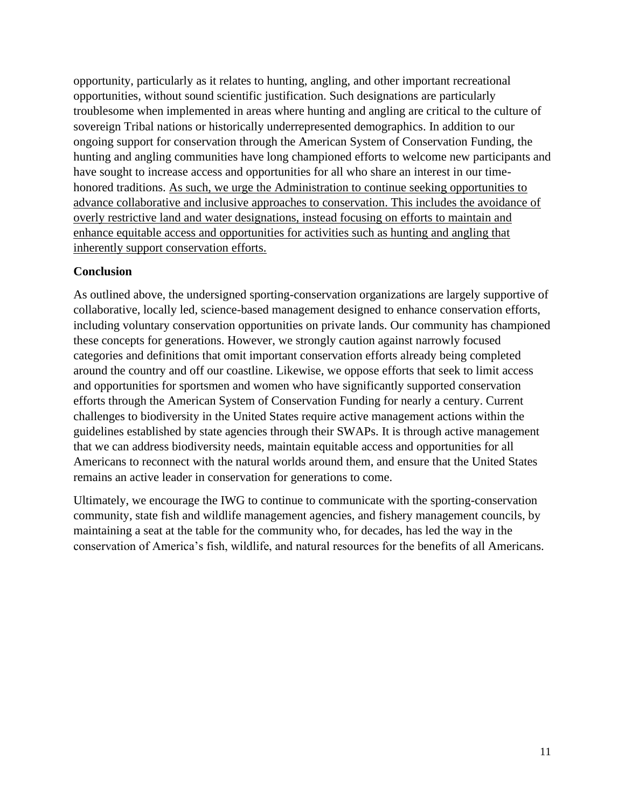opportunity, particularly as it relates to hunting, angling, and other important recreational opportunities, without sound scientific justification. Such designations are particularly troublesome when implemented in areas where hunting and angling are critical to the culture of sovereign Tribal nations or historically underrepresented demographics. In addition to our ongoing support for conservation through the American System of Conservation Funding, the hunting and angling communities have long championed efforts to welcome new participants and have sought to increase access and opportunities for all who share an interest in our timehonored traditions. As such, we urge the Administration to continue seeking opportunities to advance collaborative and inclusive approaches to conservation. This includes the avoidance of overly restrictive land and water designations, instead focusing on efforts to maintain and enhance equitable access and opportunities for activities such as hunting and angling that inherently support conservation efforts.

### **Conclusion**

As outlined above, the undersigned sporting-conservation organizations are largely supportive of collaborative, locally led, science-based management designed to enhance conservation efforts, including voluntary conservation opportunities on private lands. Our community has championed these concepts for generations. However, we strongly caution against narrowly focused categories and definitions that omit important conservation efforts already being completed around the country and off our coastline. Likewise, we oppose efforts that seek to limit access and opportunities for sportsmen and women who have significantly supported conservation efforts through the American System of Conservation Funding for nearly a century. Current challenges to biodiversity in the United States require active management actions within the guidelines established by state agencies through their SWAPs. It is through active management that we can address biodiversity needs, maintain equitable access and opportunities for all Americans to reconnect with the natural worlds around them, and ensure that the United States remains an active leader in conservation for generations to come.

Ultimately, we encourage the IWG to continue to communicate with the sporting-conservation community, state fish and wildlife management agencies, and fishery management councils, by maintaining a seat at the table for the community who, for decades, has led the way in the conservation of America's fish, wildlife, and natural resources for the benefits of all Americans.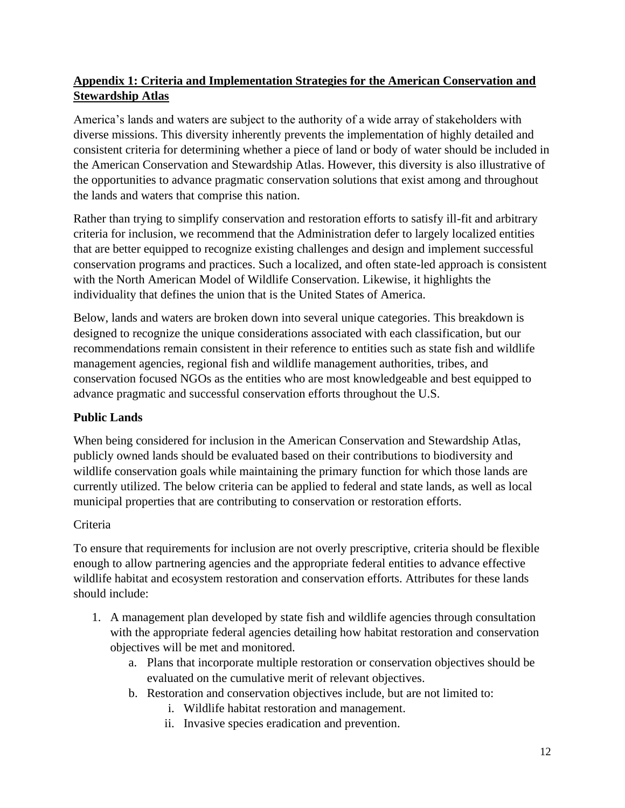# **Appendix 1: Criteria and Implementation Strategies for the American Conservation and Stewardship Atlas**

America's lands and waters are subject to the authority of a wide array of stakeholders with diverse missions. This diversity inherently prevents the implementation of highly detailed and consistent criteria for determining whether a piece of land or body of water should be included in the American Conservation and Stewardship Atlas. However, this diversity is also illustrative of the opportunities to advance pragmatic conservation solutions that exist among and throughout the lands and waters that comprise this nation.

Rather than trying to simplify conservation and restoration efforts to satisfy ill-fit and arbitrary criteria for inclusion, we recommend that the Administration defer to largely localized entities that are better equipped to recognize existing challenges and design and implement successful conservation programs and practices. Such a localized, and often state-led approach is consistent with the North American Model of Wildlife Conservation. Likewise, it highlights the individuality that defines the union that is the United States of America.

Below, lands and waters are broken down into several unique categories. This breakdown is designed to recognize the unique considerations associated with each classification, but our recommendations remain consistent in their reference to entities such as state fish and wildlife management agencies, regional fish and wildlife management authorities, tribes, and conservation focused NGOs as the entities who are most knowledgeable and best equipped to advance pragmatic and successful conservation efforts throughout the U.S.

# **Public Lands**

When being considered for inclusion in the American Conservation and Stewardship Atlas, publicly owned lands should be evaluated based on their contributions to biodiversity and wildlife conservation goals while maintaining the primary function for which those lands are currently utilized. The below criteria can be applied to federal and state lands, as well as local municipal properties that are contributing to conservation or restoration efforts.

# Criteria

To ensure that requirements for inclusion are not overly prescriptive, criteria should be flexible enough to allow partnering agencies and the appropriate federal entities to advance effective wildlife habitat and ecosystem restoration and conservation efforts. Attributes for these lands should include:

- 1. A management plan developed by state fish and wildlife agencies through consultation with the appropriate federal agencies detailing how habitat restoration and conservation objectives will be met and monitored.
	- a. Plans that incorporate multiple restoration or conservation objectives should be evaluated on the cumulative merit of relevant objectives.
	- b. Restoration and conservation objectives include, but are not limited to:
		- i. Wildlife habitat restoration and management.
		- ii. Invasive species eradication and prevention.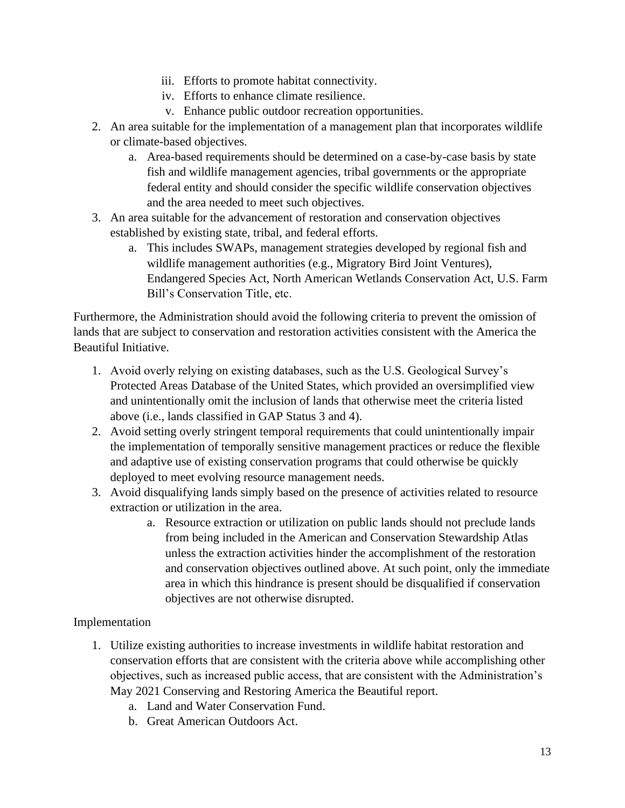- iii. Efforts to promote habitat connectivity.
- iv. Efforts to enhance climate resilience.
- v. Enhance public outdoor recreation opportunities.
- 2. An area suitable for the implementation of a management plan that incorporates wildlife or climate-based objectives.
	- a. Area-based requirements should be determined on a case-by-case basis by state fish and wildlife management agencies, tribal governments or the appropriate federal entity and should consider the specific wildlife conservation objectives and the area needed to meet such objectives.
- 3. An area suitable for the advancement of restoration and conservation objectives established by existing state, tribal, and federal efforts.
	- a. This includes SWAPs, management strategies developed by regional fish and wildlife management authorities (e.g., Migratory Bird Joint Ventures), Endangered Species Act, North American Wetlands Conservation Act, U.S. Farm Bill's Conservation Title, etc.

Furthermore, the Administration should avoid the following criteria to prevent the omission of lands that are subject to conservation and restoration activities consistent with the America the Beautiful Initiative.

- 1. Avoid overly relying on existing databases, such as the U.S. Geological Survey's Protected Areas Database of the United States, which provided an oversimplified view and unintentionally omit the inclusion of lands that otherwise meet the criteria listed above (i.e., lands classified in GAP Status 3 and 4).
- 2. Avoid setting overly stringent temporal requirements that could unintentionally impair the implementation of temporally sensitive management practices or reduce the flexible and adaptive use of existing conservation programs that could otherwise be quickly deployed to meet evolving resource management needs.
- 3. Avoid disqualifying lands simply based on the presence of activities related to resource extraction or utilization in the area.
	- a. Resource extraction or utilization on public lands should not preclude lands from being included in the American and Conservation Stewardship Atlas unless the extraction activities hinder the accomplishment of the restoration and conservation objectives outlined above. At such point, only the immediate area in which this hindrance is present should be disqualified if conservation objectives are not otherwise disrupted.

### Implementation

- 1. Utilize existing authorities to increase investments in wildlife habitat restoration and conservation efforts that are consistent with the criteria above while accomplishing other objectives, such as increased public access, that are consistent with the Administration's May 2021 Conserving and Restoring America the Beautiful report.
	- a. Land and Water Conservation Fund.
	- b. Great American Outdoors Act.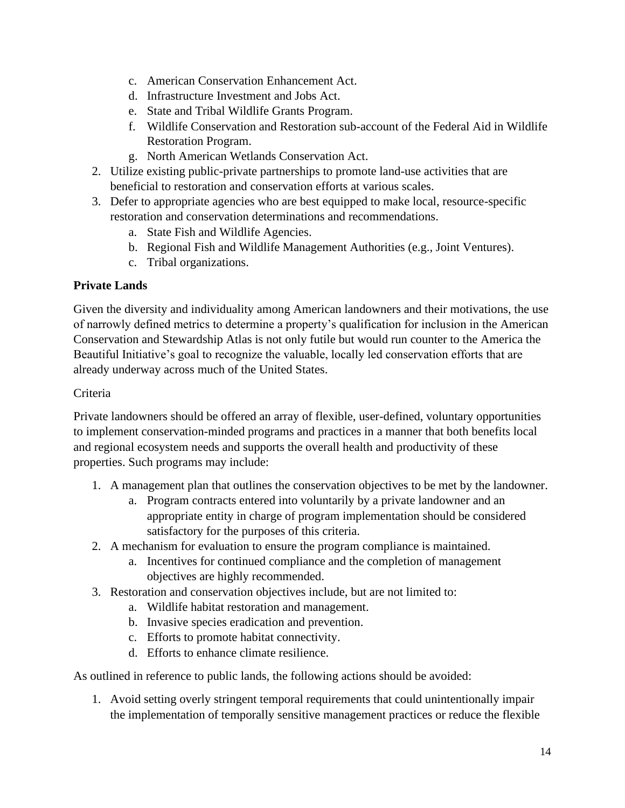- c. American Conservation Enhancement Act.
- d. Infrastructure Investment and Jobs Act.
- e. State and Tribal Wildlife Grants Program.
- f. Wildlife Conservation and Restoration sub-account of the Federal Aid in Wildlife Restoration Program.
- g. North American Wetlands Conservation Act.
- 2. Utilize existing public-private partnerships to promote land-use activities that are beneficial to restoration and conservation efforts at various scales.
- 3. Defer to appropriate agencies who are best equipped to make local, resource-specific restoration and conservation determinations and recommendations.
	- a. State Fish and Wildlife Agencies.
	- b. Regional Fish and Wildlife Management Authorities (e.g., Joint Ventures).
	- c. Tribal organizations.

# **Private Lands**

Given the diversity and individuality among American landowners and their motivations, the use of narrowly defined metrics to determine a property's qualification for inclusion in the American Conservation and Stewardship Atlas is not only futile but would run counter to the America the Beautiful Initiative's goal to recognize the valuable, locally led conservation efforts that are already underway across much of the United States.

# Criteria

Private landowners should be offered an array of flexible, user-defined, voluntary opportunities to implement conservation-minded programs and practices in a manner that both benefits local and regional ecosystem needs and supports the overall health and productivity of these properties. Such programs may include:

- 1. A management plan that outlines the conservation objectives to be met by the landowner.
	- a. Program contracts entered into voluntarily by a private landowner and an appropriate entity in charge of program implementation should be considered satisfactory for the purposes of this criteria.
- 2. A mechanism for evaluation to ensure the program compliance is maintained.
	- a. Incentives for continued compliance and the completion of management objectives are highly recommended.
- 3. Restoration and conservation objectives include, but are not limited to:
	- a. Wildlife habitat restoration and management.
	- b. Invasive species eradication and prevention.
	- c. Efforts to promote habitat connectivity.
	- d. Efforts to enhance climate resilience.

As outlined in reference to public lands, the following actions should be avoided:

1. Avoid setting overly stringent temporal requirements that could unintentionally impair the implementation of temporally sensitive management practices or reduce the flexible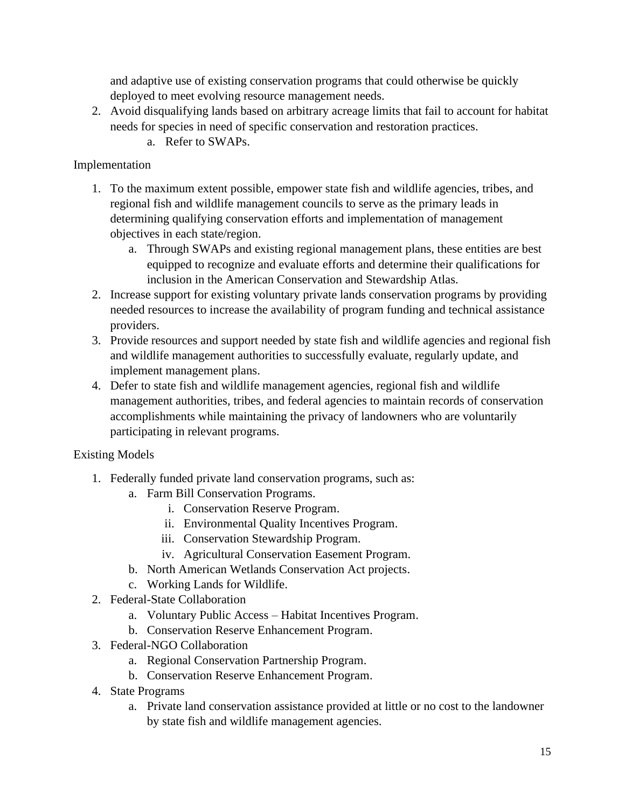and adaptive use of existing conservation programs that could otherwise be quickly deployed to meet evolving resource management needs.

- 2. Avoid disqualifying lands based on arbitrary acreage limits that fail to account for habitat needs for species in need of specific conservation and restoration practices.
	- a. Refer to SWAPs.

# Implementation

- 1. To the maximum extent possible, empower state fish and wildlife agencies, tribes, and regional fish and wildlife management councils to serve as the primary leads in determining qualifying conservation efforts and implementation of management objectives in each state/region.
	- a. Through SWAPs and existing regional management plans, these entities are best equipped to recognize and evaluate efforts and determine their qualifications for inclusion in the American Conservation and Stewardship Atlas.
- 2. Increase support for existing voluntary private lands conservation programs by providing needed resources to increase the availability of program funding and technical assistance providers.
- 3. Provide resources and support needed by state fish and wildlife agencies and regional fish and wildlife management authorities to successfully evaluate, regularly update, and implement management plans.
- 4. Defer to state fish and wildlife management agencies, regional fish and wildlife management authorities, tribes, and federal agencies to maintain records of conservation accomplishments while maintaining the privacy of landowners who are voluntarily participating in relevant programs.

# Existing Models

- 1. Federally funded private land conservation programs, such as:
	- a. Farm Bill Conservation Programs.
		- i. Conservation Reserve Program.
		- ii. Environmental Quality Incentives Program.
		- iii. Conservation Stewardship Program.
		- iv. Agricultural Conservation Easement Program.
	- b. North American Wetlands Conservation Act projects.
	- c. Working Lands for Wildlife.
- 2. Federal-State Collaboration
	- a. Voluntary Public Access Habitat Incentives Program.
	- b. Conservation Reserve Enhancement Program.
- 3. Federal-NGO Collaboration
	- a. Regional Conservation Partnership Program.
	- b. Conservation Reserve Enhancement Program.
- 4. State Programs
	- a. Private land conservation assistance provided at little or no cost to the landowner by state fish and wildlife management agencies.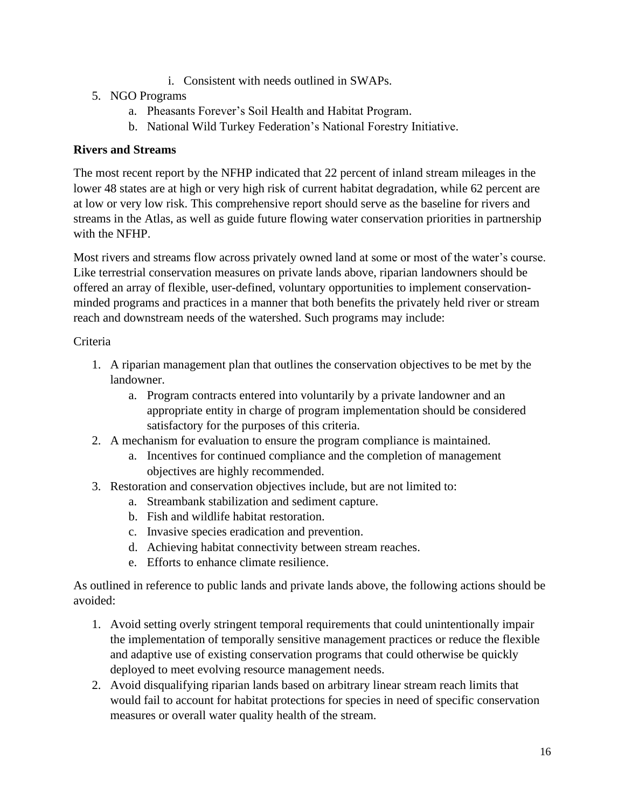- i. Consistent with needs outlined in SWAPs.
- 5. NGO Programs
	- a. Pheasants Forever's Soil Health and Habitat Program.
	- b. National Wild Turkey Federation's National Forestry Initiative.

### **Rivers and Streams**

The most recent report by the NFHP indicated that 22 percent of inland stream mileages in the lower 48 states are at high or very high risk of current habitat degradation, while 62 percent are at low or very low risk. This comprehensive report should serve as the baseline for rivers and streams in the Atlas, as well as guide future flowing water conservation priorities in partnership with the NFHP.

Most rivers and streams flow across privately owned land at some or most of the water's course. Like terrestrial conservation measures on private lands above, riparian landowners should be offered an array of flexible, user-defined, voluntary opportunities to implement conservationminded programs and practices in a manner that both benefits the privately held river or stream reach and downstream needs of the watershed. Such programs may include:

### Criteria

- 1. A riparian management plan that outlines the conservation objectives to be met by the landowner.
	- a. Program contracts entered into voluntarily by a private landowner and an appropriate entity in charge of program implementation should be considered satisfactory for the purposes of this criteria.
- 2. A mechanism for evaluation to ensure the program compliance is maintained.
	- a. Incentives for continued compliance and the completion of management objectives are highly recommended.
- 3. Restoration and conservation objectives include, but are not limited to:
	- a. Streambank stabilization and sediment capture.
	- b. Fish and wildlife habitat restoration.
	- c. Invasive species eradication and prevention.
	- d. Achieving habitat connectivity between stream reaches.
	- e. Efforts to enhance climate resilience.

As outlined in reference to public lands and private lands above, the following actions should be avoided:

- 1. Avoid setting overly stringent temporal requirements that could unintentionally impair the implementation of temporally sensitive management practices or reduce the flexible and adaptive use of existing conservation programs that could otherwise be quickly deployed to meet evolving resource management needs.
- 2. Avoid disqualifying riparian lands based on arbitrary linear stream reach limits that would fail to account for habitat protections for species in need of specific conservation measures or overall water quality health of the stream.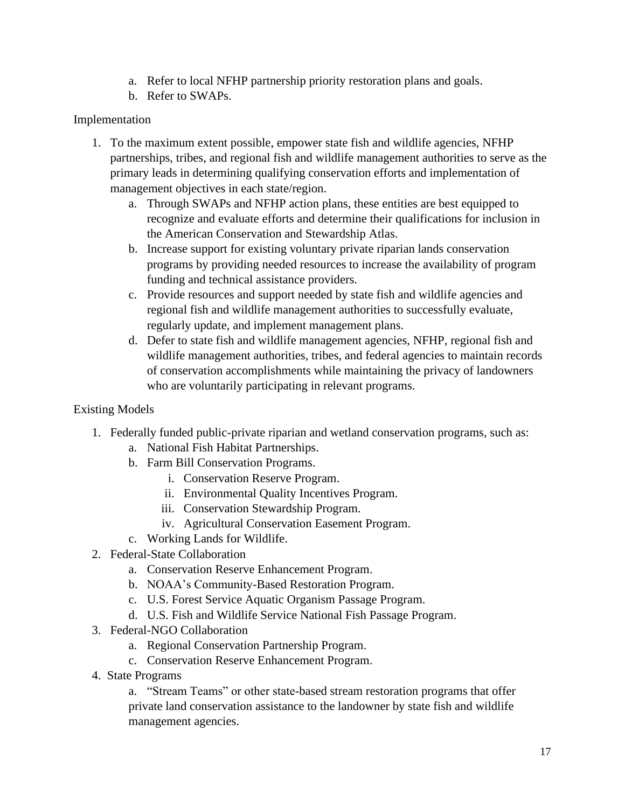- a. Refer to local NFHP partnership priority restoration plans and goals.
- b. Refer to SWAPs.

### Implementation

- 1. To the maximum extent possible, empower state fish and wildlife agencies, NFHP partnerships, tribes, and regional fish and wildlife management authorities to serve as the primary leads in determining qualifying conservation efforts and implementation of management objectives in each state/region.
	- a. Through SWAPs and NFHP action plans, these entities are best equipped to recognize and evaluate efforts and determine their qualifications for inclusion in the American Conservation and Stewardship Atlas.
	- b. Increase support for existing voluntary private riparian lands conservation programs by providing needed resources to increase the availability of program funding and technical assistance providers.
	- c. Provide resources and support needed by state fish and wildlife agencies and regional fish and wildlife management authorities to successfully evaluate, regularly update, and implement management plans.
	- d. Defer to state fish and wildlife management agencies, NFHP, regional fish and wildlife management authorities, tribes, and federal agencies to maintain records of conservation accomplishments while maintaining the privacy of landowners who are voluntarily participating in relevant programs.

### Existing Models

- 1. Federally funded public-private riparian and wetland conservation programs, such as:
	- a. National Fish Habitat Partnerships.
	- b. Farm Bill Conservation Programs.
		- i. Conservation Reserve Program.
		- ii. Environmental Quality Incentives Program.
		- iii. Conservation Stewardship Program.
		- iv. Agricultural Conservation Easement Program.
	- c. Working Lands for Wildlife.
- 2. Federal-State Collaboration
	- a. Conservation Reserve Enhancement Program.
	- b. NOAA's Community-Based Restoration Program.
	- c. U.S. Forest Service Aquatic Organism Passage Program.
	- d. U.S. Fish and Wildlife Service National Fish Passage Program.
- 3. Federal-NGO Collaboration
	- a. Regional Conservation Partnership Program.
	- c. Conservation Reserve Enhancement Program.
- 4. State Programs

a. "Stream Teams" or other state-based stream restoration programs that offer private land conservation assistance to the landowner by state fish and wildlife management agencies.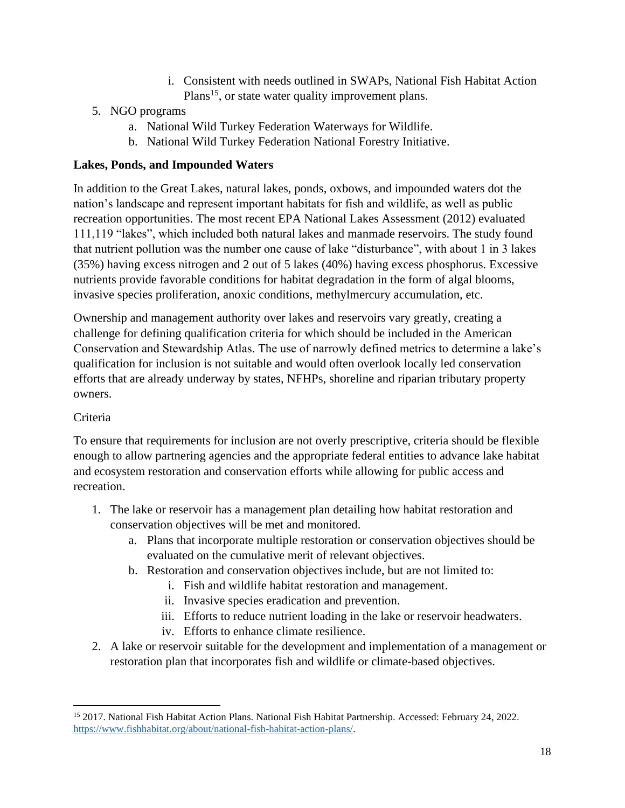- i. Consistent with needs outlined in SWAPs, National Fish Habitat Action Plans<sup>15</sup>, or state water quality improvement plans.
- 5. NGO programs
	- a. National Wild Turkey Federation Waterways for Wildlife.
	- b. National Wild Turkey Federation National Forestry Initiative.

# **Lakes, Ponds, and Impounded Waters**

In addition to the Great Lakes, natural lakes, ponds, oxbows, and impounded waters dot the nation's landscape and represent important habitats for fish and wildlife, as well as public recreation opportunities. The most recent EPA National Lakes Assessment (2012) evaluated 111,119 "lakes", which included both natural lakes and manmade reservoirs. The study found that nutrient pollution was the number one cause of lake "disturbance", with about 1 in 3 lakes (35%) having excess nitrogen and 2 out of 5 lakes (40%) having excess phosphorus. Excessive nutrients provide favorable conditions for habitat degradation in the form of algal blooms, invasive species proliferation, anoxic conditions, methylmercury accumulation, etc.

Ownership and management authority over lakes and reservoirs vary greatly, creating a challenge for defining qualification criteria for which should be included in the American Conservation and Stewardship Atlas. The use of narrowly defined metrics to determine a lake's qualification for inclusion is not suitable and would often overlook locally led conservation efforts that are already underway by states, NFHPs, shoreline and riparian tributary property owners.

# Criteria

To ensure that requirements for inclusion are not overly prescriptive, criteria should be flexible enough to allow partnering agencies and the appropriate federal entities to advance lake habitat and ecosystem restoration and conservation efforts while allowing for public access and recreation.

- 1. The lake or reservoir has a management plan detailing how habitat restoration and conservation objectives will be met and monitored.
	- a. Plans that incorporate multiple restoration or conservation objectives should be evaluated on the cumulative merit of relevant objectives.
	- b. Restoration and conservation objectives include, but are not limited to:
		- i. Fish and wildlife habitat restoration and management.
		- ii. Invasive species eradication and prevention.
		- iii. Efforts to reduce nutrient loading in the lake or reservoir headwaters.
		- iv. Efforts to enhance climate resilience.
- 2. A lake or reservoir suitable for the development and implementation of a management or restoration plan that incorporates fish and wildlife or climate-based objectives.

<sup>15</sup> 2017. National Fish Habitat Action Plans. National Fish Habitat Partnership. Accessed: February 24, 2022. [https://www.fishhabitat.org/about/national-fish-habitat-action-plans/.](https://www.fishhabitat.org/about/national-fish-habitat-action-plans/)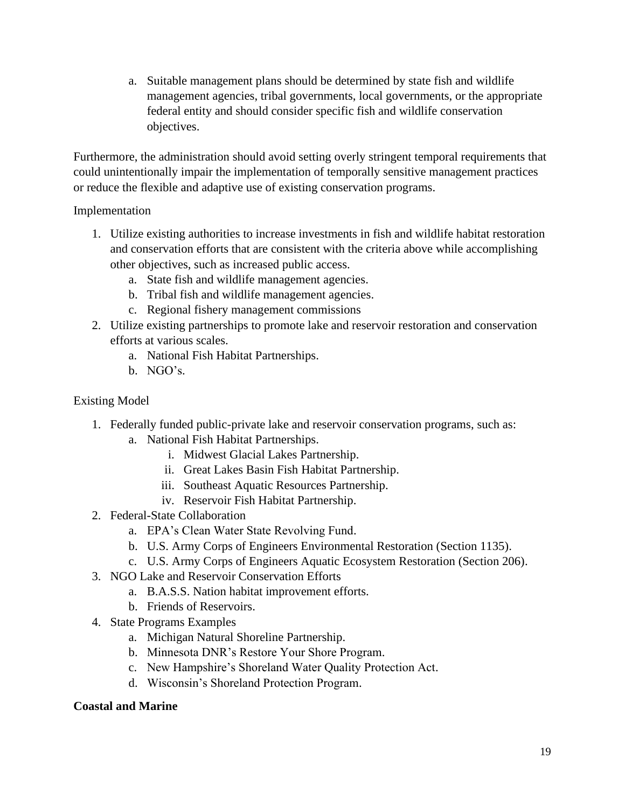a. Suitable management plans should be determined by state fish and wildlife management agencies, tribal governments, local governments, or the appropriate federal entity and should consider specific fish and wildlife conservation objectives.

Furthermore, the administration should avoid setting overly stringent temporal requirements that could unintentionally impair the implementation of temporally sensitive management practices or reduce the flexible and adaptive use of existing conservation programs.

### Implementation

- 1. Utilize existing authorities to increase investments in fish and wildlife habitat restoration and conservation efforts that are consistent with the criteria above while accomplishing other objectives, such as increased public access.
	- a. State fish and wildlife management agencies.
	- b. Tribal fish and wildlife management agencies.
	- c. Regional fishery management commissions
- 2. Utilize existing partnerships to promote lake and reservoir restoration and conservation efforts at various scales.
	- a. National Fish Habitat Partnerships.
	- b. NGO's.

### Existing Model

- 1. Federally funded public-private lake and reservoir conservation programs, such as:
	- a. National Fish Habitat Partnerships.
		- i. Midwest Glacial Lakes Partnership.
		- ii. Great Lakes Basin Fish Habitat Partnership.
		- iii. Southeast Aquatic Resources Partnership.
		- iv. Reservoir Fish Habitat Partnership.
- 2. Federal-State Collaboration
	- a. EPA's Clean Water State Revolving Fund.
	- b. U.S. Army Corps of Engineers Environmental Restoration (Section 1135).
	- c. U.S. Army Corps of Engineers Aquatic Ecosystem Restoration (Section 206).
- 3. NGO Lake and Reservoir Conservation Efforts
	- a. B.A.S.S. Nation habitat improvement efforts.
	- b. Friends of Reservoirs.
- 4. State Programs Examples
	- a. Michigan Natural Shoreline Partnership.
	- b. Minnesota DNR's Restore Your Shore Program.
	- c. New Hampshire's Shoreland Water Quality Protection Act.
	- d. Wisconsin's Shoreland Protection Program.

### **Coastal and Marine**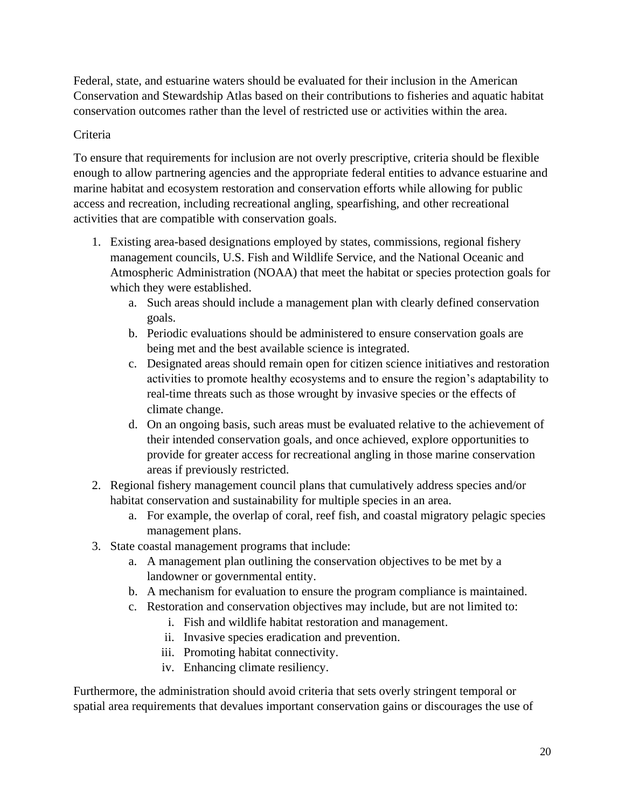Federal, state, and estuarine waters should be evaluated for their inclusion in the American Conservation and Stewardship Atlas based on their contributions to fisheries and aquatic habitat conservation outcomes rather than the level of restricted use or activities within the area.

### Criteria

To ensure that requirements for inclusion are not overly prescriptive, criteria should be flexible enough to allow partnering agencies and the appropriate federal entities to advance estuarine and marine habitat and ecosystem restoration and conservation efforts while allowing for public access and recreation, including recreational angling, spearfishing, and other recreational activities that are compatible with conservation goals.

- 1. Existing area-based designations employed by states, commissions, regional fishery management councils, U.S. Fish and Wildlife Service, and the National Oceanic and Atmospheric Administration (NOAA) that meet the habitat or species protection goals for which they were established.
	- a. Such areas should include a management plan with clearly defined conservation goals.
	- b. Periodic evaluations should be administered to ensure conservation goals are being met and the best available science is integrated.
	- c. Designated areas should remain open for citizen science initiatives and restoration activities to promote healthy ecosystems and to ensure the region's adaptability to real-time threats such as those wrought by invasive species or the effects of climate change.
	- d. On an ongoing basis, such areas must be evaluated relative to the achievement of their intended conservation goals, and once achieved, explore opportunities to provide for greater access for recreational angling in those marine conservation areas if previously restricted.
- 2. Regional fishery management council plans that cumulatively address species and/or habitat conservation and sustainability for multiple species in an area.
	- a. For example, the overlap of coral, reef fish, and coastal migratory pelagic species management plans.
- 3. State coastal management programs that include:
	- a. A management plan outlining the conservation objectives to be met by a landowner or governmental entity.
	- b. A mechanism for evaluation to ensure the program compliance is maintained.
	- c. Restoration and conservation objectives may include, but are not limited to:
		- i. Fish and wildlife habitat restoration and management.
		- ii. Invasive species eradication and prevention.
		- iii. Promoting habitat connectivity.
		- iv. Enhancing climate resiliency.

Furthermore, the administration should avoid criteria that sets overly stringent temporal or spatial area requirements that devalues important conservation gains or discourages the use of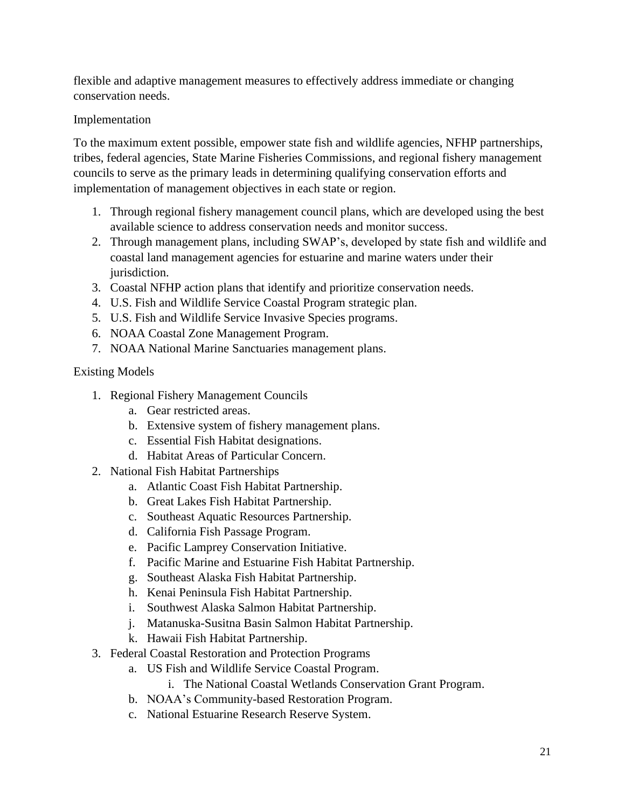flexible and adaptive management measures to effectively address immediate or changing conservation needs.

### Implementation

To the maximum extent possible, empower state fish and wildlife agencies, NFHP partnerships, tribes, federal agencies, State Marine Fisheries Commissions, and regional fishery management councils to serve as the primary leads in determining qualifying conservation efforts and implementation of management objectives in each state or region.

- 1. Through regional fishery management council plans, which are developed using the best available science to address conservation needs and monitor success.
- 2. Through management plans, including SWAP's, developed by state fish and wildlife and coastal land management agencies for estuarine and marine waters under their jurisdiction.
- 3. Coastal NFHP action plans that identify and prioritize conservation needs.
- 4. U.S. Fish and Wildlife Service Coastal Program strategic plan.
- 5. U.S. Fish and Wildlife Service Invasive Species programs.
- 6. NOAA Coastal Zone Management Program.
- 7. NOAA National Marine Sanctuaries management plans.

### Existing Models

- 1. Regional Fishery Management Councils
	- a. Gear restricted areas.
	- b. Extensive system of fishery management plans.
	- c. Essential Fish Habitat designations.
	- d. Habitat Areas of Particular Concern.
- 2. National Fish Habitat Partnerships
	- a. Atlantic Coast Fish Habitat Partnership.
	- b. Great Lakes Fish Habitat Partnership.
	- c. Southeast Aquatic Resources Partnership.
	- d. California Fish Passage Program.
	- e. Pacific Lamprey Conservation Initiative.
	- f. Pacific Marine and Estuarine Fish Habitat Partnership.
	- g. Southeast Alaska Fish Habitat Partnership.
	- h. Kenai Peninsula Fish Habitat Partnership.
	- i. Southwest Alaska Salmon Habitat Partnership.
	- j. Matanuska-Susitna Basin Salmon Habitat Partnership.
	- k. Hawaii Fish Habitat Partnership.
- 3. Federal Coastal Restoration and Protection Programs
	- a. US Fish and Wildlife Service Coastal Program.
		- i. The National Coastal Wetlands Conservation Grant Program.
	- b. NOAA's Community-based Restoration Program.
	- c. National Estuarine Research Reserve System.